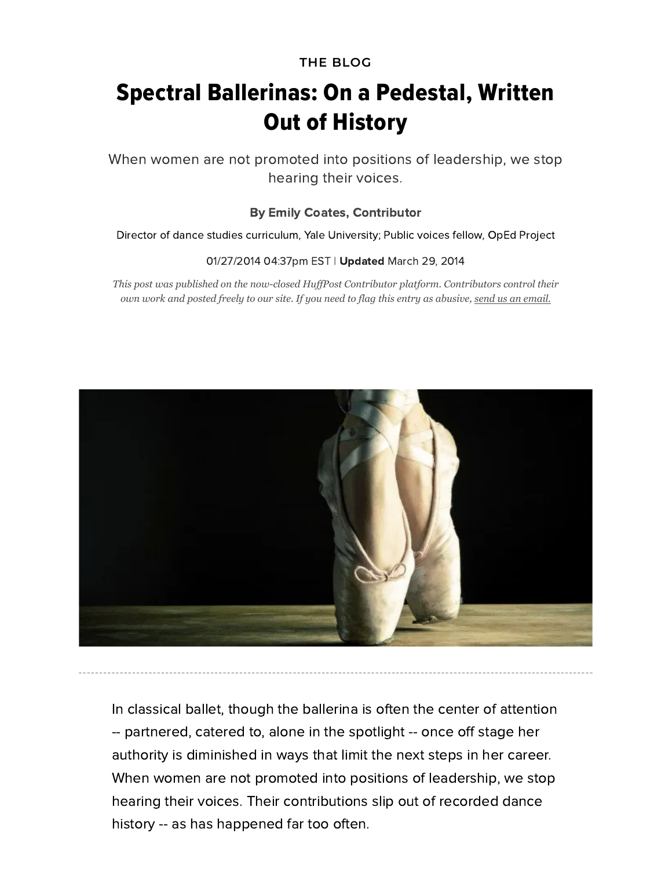## **THE BLOG**

## Spectral Ballerinas: On a Pedestal, Written Out of History

When women are not promoted into positions of leadership, we stop hearing their voices.

## By Emily Coates, [Contributor](https://www.huffpost.com/author/emily-coates)

Director of dance studies curriculum, Yale University; Public voices fellow, OpEd Project

01/27/2014 04:37pm EST | Updated March 29, 2014

*This post was published on the now-closed HuffPost Contributor platform. Contributors control their own work and posted freely to our site. If you need to flag this entry as abusive, [send us an email.](mailto:corrections@huffingtonpost.com)* 



In classical ballet, though the ballerina is often the center of attention -- partnered, catered to, alone in the spotlight -- once off stage her authority is diminished in ways that limit the next steps in her career. When women are not promoted into positions of leadership, we stop hearing their voices. Their contributions slip out of recorded dance history -- as has happened far too often.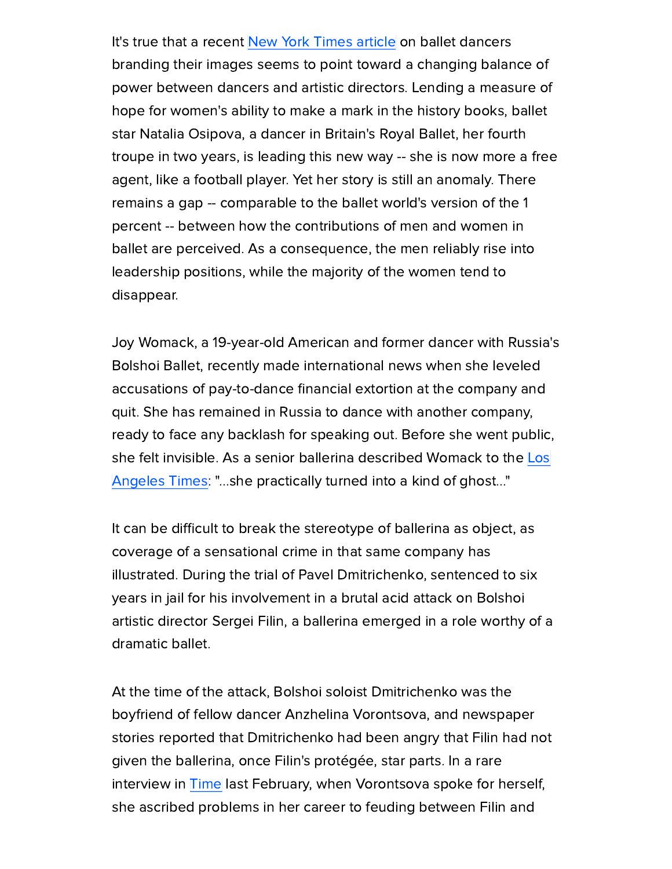It's true that a recent New York Times [article](http://www.nytimes.com/2013/11/21/arts/dance/ballet-dancers-as-brands.html?pagewanted=1&_r=1) on ballet dancers branding their images seems to point toward a changing balance of power between dancers and artistic directors. Lending a measure of hope for women's ability to make a mark in the history books, ballet star Natalia Osipova, a dancer in Britain's Royal Ballet, her fourth troupe in two years, is leading this new way -- she is now more a free agent, like a football player. Yet her story is still an anomaly. There remains a gap -- comparable to the ballet world's version of the 1 percent -- between how the contributions of men and women in ballet are perceived. As a consequence, the men reliably rise into leadership positions, while the majority of the women tend to disappear.

Joy Womack, a 19-year-old American and former dancer with Russia's Bolshoi Ballet, recently made international news when she leveled accusations of pay-to-dance financial extortion at the company and quit. She has remained in Russia to dance with another company, ready to face any backlash for speaking out. Before she went public, she felt invisible. As a senior ballerina described Womack to the Los Angeles Times: "...she [practically](http://www.latimes.com/entertainment/arts/culture/la-et-cm-bolshoi-ballet-bribe-joy-womack-20131120,0,7437189.story#axzz2m8UXmA7t) turned into a kind of ghost..."

It can be difficult to break the stereotype of ballerina as object, as coverage of a sensational crime in that same company has illustrated. During the trial of Pavel Dmitrichenko, sentenced to six years in jail for his involvement in a brutal acid attack on Bolshoi artistic director Sergei Filin, a ballerina emerged in a role worthy of a dramatic ballet.

At the time of the attack, Bolshoi soloist Dmitrichenko was the boyfriend of fellow dancer Anzhelina Vorontsova, and newspaper stories reported that Dmitrichenko had been angry that Filin had not given the ballerina, once Filin's protégée, star parts. In a rare interview in [Time](http://world.time.com/2013/03/06/exclusive-interview-did-this-bolshoi-ballerina-inspire-an-acid-attack/) last February, when Vorontsova spoke for herself, she ascribed problems in her career to feuding between Filin and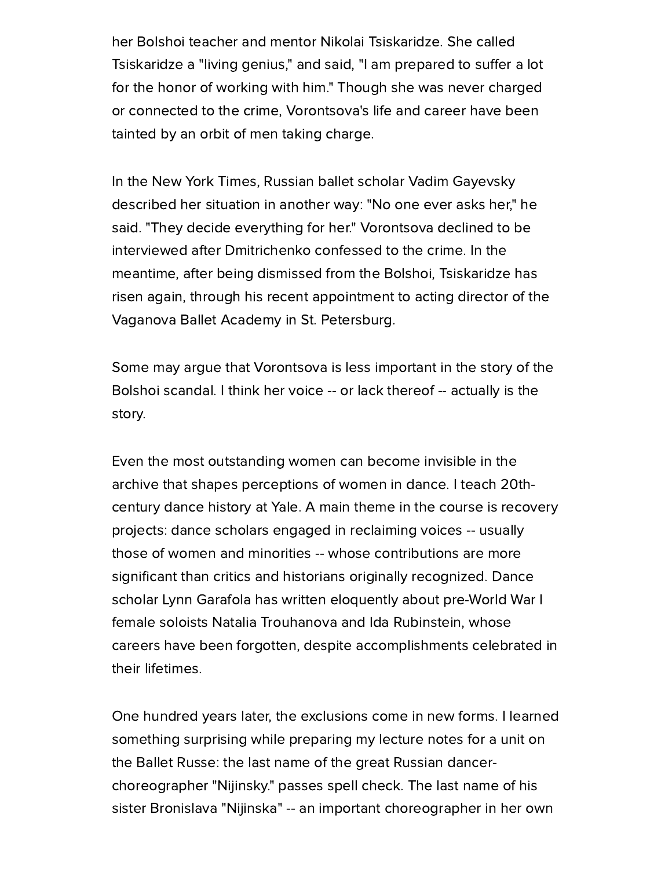her Bolshoi teacher and mentor Nikolai Tsiskaridze. She called Tsiskaridze a "living genius," and said, "I am prepared to suffer a lot for the honor of working with him." Though she was never charged or connected to the crime, Vorontsova's life and career have been tainted by an orbit of men taking charge.

In the New York Times, Russian ballet scholar Vadim Gayevsky described her situation in another way: "No one ever asks her," he said. "They decide everything for her." Vorontsova declined to be interviewed after Dmitrichenko confessed to the crime. In the meantime, after being dismissed from the Bolshoi, Tsiskaridze has risen again, through his recent appointment to acting director of the Vaganova Ballet Academy in St. Petersburg.

Some may argue that Vorontsova is less important in the story of the Bolshoi scandal. I think her voice -- or lack thereof -- actually is the story.

Even the most outstanding women can become invisible in the archive that shapes perceptions of women in dance. I teach 20thcentury dance history at Yale. A main theme in the course is recovery projects: dance scholars engaged in reclaiming voices -- usually those of women and minorities -- whose contributions are more significant than critics and historians originally recognized. Dance scholar Lynn Garafola has written eloquently about pre-World War I female soloists Natalia Trouhanova and Ida Rubinstein, whose careers have been forgotten, despite accomplishments celebrated in their lifetimes.

One hundred years later, the exclusions come in new forms. I learned something surprising while preparing my lecture notes for a unit on the Ballet Russe: the last name of the great Russian dancerchoreographer "Nijinsky." passes spell check. The last name of his sister Bronislava "Nijinska" -- an important choreographer in her own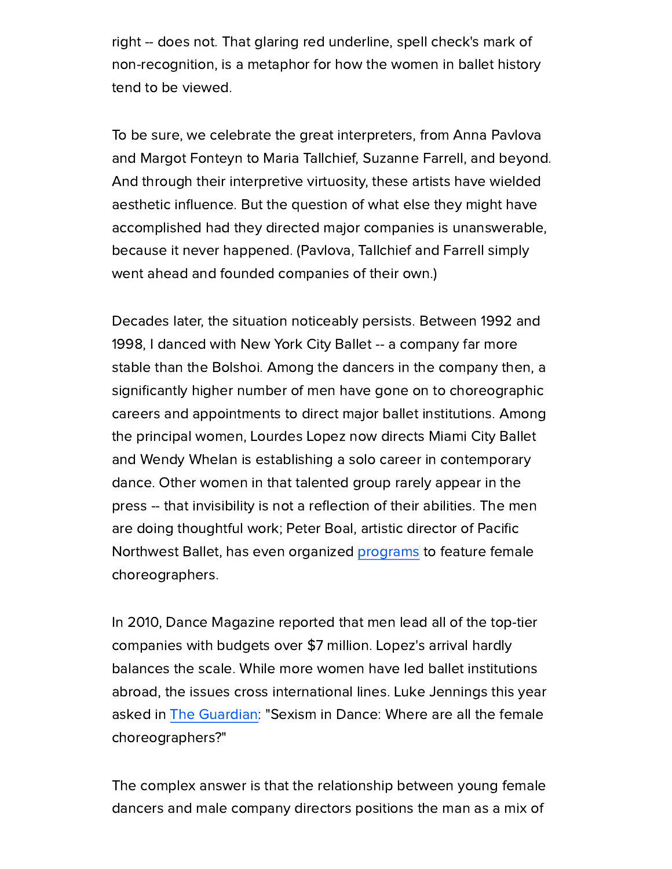right -- does not. That glaring red underline, spell check's mark of non-recognition, is a metaphor for how the women in ballet history tend to be viewed.

To be sure, we celebrate the great interpreters, from Anna Pavlova and Margot Fonteyn to Maria Tallchief, Suzanne Farrell, and beyond. And through their interpretive virtuosity, these artists have wielded aesthetic influence. But the question of what else they might have accomplished had they directed major companies is unanswerable, because it never happened. (Pavlova, Tallchief and Farrell simply went ahead and founded companies of their own.)

Decades later, the situation noticeably persists. Between 1992 and 1998, I danced with New York City Ballet -- a company far more stable than the Bolshoi. Among the dancers in the company then, a significantly higher number of men have gone on to choreographic careers and appointments to direct major ballet institutions. Among the principal women, Lourdes Lopez now directs Miami City Ballet and Wendy Whelan is establishing a solo career in contemporary dance. Other women in that talented group rarely appear in the press -- that invisibility is not a reflection of their abilities. The men are doing thoughtful work; Peter Boal, artistic director of Pacific Northwest Ballet, has even organized [programs](http://www.theguardian.com/stage/dance-blog/2013/nov/21/dance-news-russian-ballet-women-choreographers) to feature female choreographers.

In 2010, Dance Magazine reported that men lead all of the top-tier companies with budgets over \$7 million. Lopez's arrival hardly balances the scale. While more women have led ballet institutions abroad, the issues cross international lines. Luke Jennings this year asked in The [Guardian:](http://www.theguardian.com/stage/2013/apr/28/women-choreographers-glass-ceiling) "Sexism in Dance: Where are all the female choreographers?"

The complex answer is that the relationship between young female dancers and male company directors positions the man as a mix of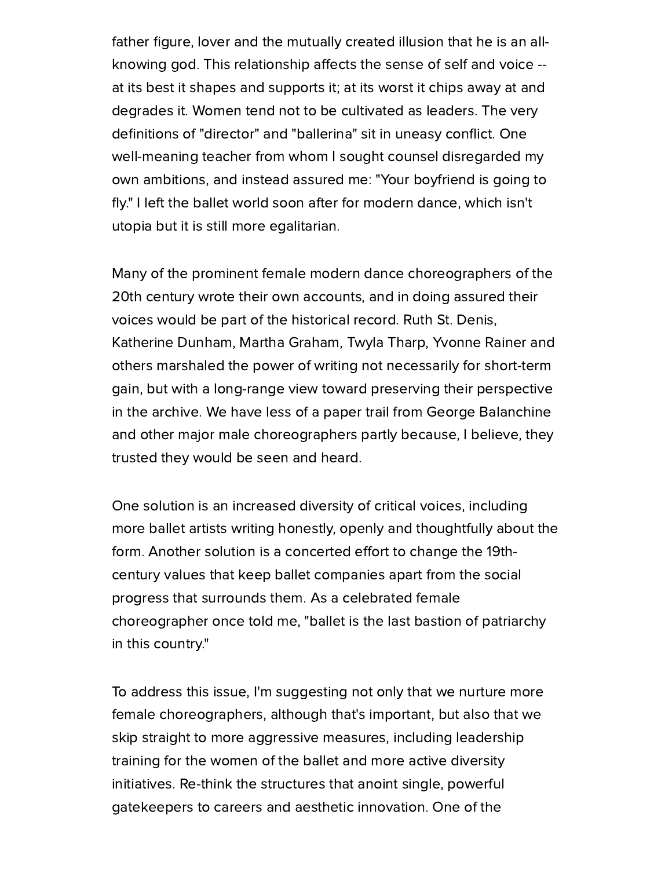father figure, lover and the mutually created illusion that he is an allknowing god. This relationship affects the sense of self and voice - at its best it shapes and supports it; at its worst it chips away at and degrades it. Women tend not to be cultivated as leaders. The very definitions of "director" and "ballerina" sit in uneasy conflict. One well-meaning teacher from whom I sought counsel disregarded my own ambitions, and instead assured me: "Your boyfriend is going to fly." I left the ballet world soon after for modern dance, which isn't utopia but it is still more egalitarian.

Many of the prominent female modern dance choreographers of the 20th century wrote their own accounts, and in doing assured their voices would be part of the historical record. Ruth St. Denis, Katherine Dunham, Martha Graham, Twyla Tharp, Yvonne Rainer and others marshaled the power of writing not necessarily for short-term gain, but with a long-range view toward preserving their perspective in the archive. We have less of a paper trail from George Balanchine and other major male choreographers partly because, I believe, they trusted they would be seen and heard.

One solution is an increased diversity of critical voices, including more ballet artists writing honestly, openly and thoughtfully about the form. Another solution is a concerted effort to change the 19thcentury values that keep ballet companies apart from the social progress that surrounds them. As a celebrated female choreographer once told me, "ballet is the last bastion of patriarchy in this country."

To address this issue, I'm suggesting not only that we nurture more female choreographers, although that's important, but also that we skip straight to more aggressive measures, including leadership training for the women of the ballet and more active diversity initiatives. Re-think the structures that anoint single, powerful gatekeepers to careers and aesthetic innovation. One of the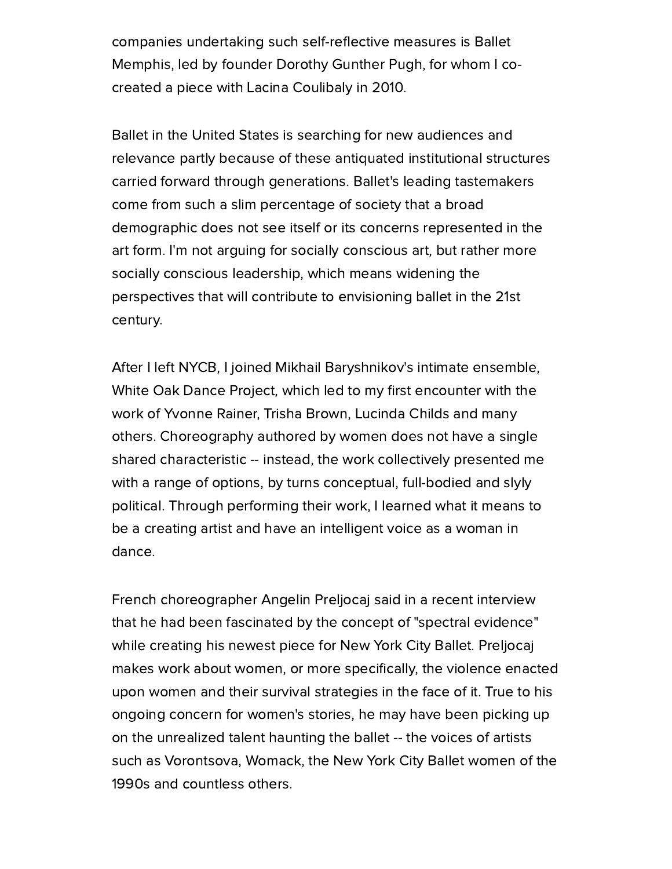companies undertaking such self-reflective measures is Ballet Memphis, led by founder Dorothy Gunther Pugh, for whom I cocreated a piece with Lacina Coulibaly in 2010.

Ballet in the United States is searching for new audiences and relevance partly because of these antiquated institutional structures carried forward through generations. Ballet's leading tastemakers come from such a slim percentage of society that a broad demographic does not see itself or its concerns represented in the art form. I'm not arguing for socially conscious art, but rather more socially conscious leadership, which means widening the perspectives that will contribute to envisioning ballet in the 21st century.

After I left NYCB, I joined Mikhail Baryshnikov's intimate ensemble, White Oak Dance Project, which led to my first encounter with the work of Yvonne Rainer, Trisha Brown, Lucinda Childs and many others. Choreography authored by women does not have a single shared characteristic -- instead, the work collectively presented me with a range of options, by turns conceptual, full-bodied and slyly political. Through performing their work, I learned what it means to be a creating artist and have an intelligent voice as a woman in dance.

French choreographer Angelin Preljocaj said in a recent interview that he had been fascinated by the concept of "spectral evidence" while creating his newest piece for New York City Ballet. Preljocaj makes work about women, or more specifically, the violence enacted upon women and their survival strategies in the face of it. True to his ongoing concern for women's stories, he may have been picking up on the unrealized talent haunting the ballet -- the voices of artists such as Vorontsova, Womack, the New York City Ballet women of the 1990s and countless others.